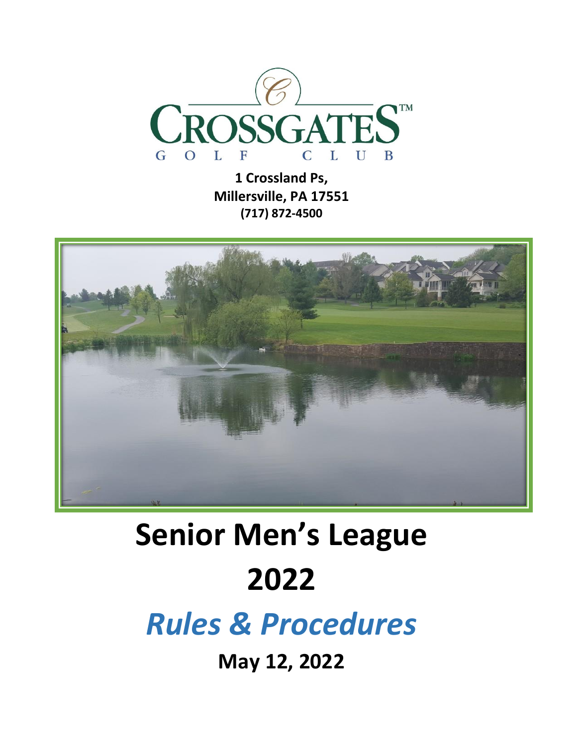

**1 Crossland Ps, Millersville, PA 17551 (717) 872-4500**



# **Senior Men's League 2022**

*Rules & Procedures*

**May 12, 2022**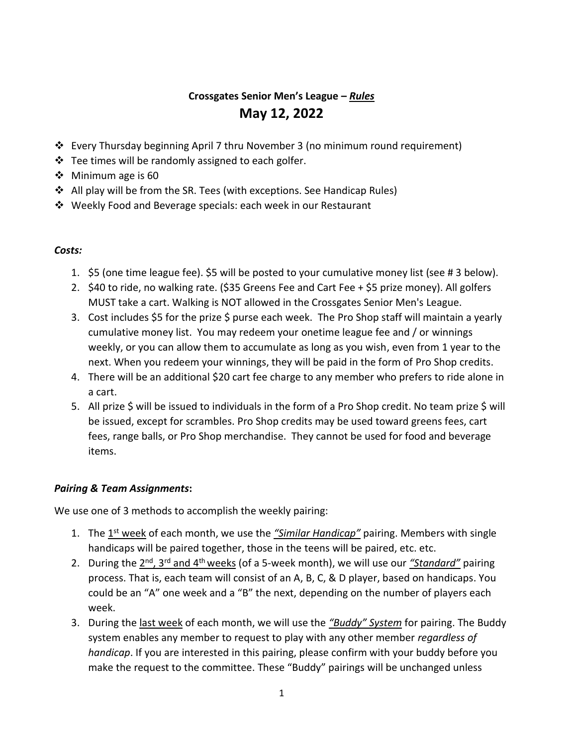### **Crossgates Senior Men's League –** *Rules* **May 12, 2022**

- ❖ Every Thursday beginning April 7 thru November 3 (no minimum round requirement)
- ❖ Tee times will be randomly assigned to each golfer.
- ❖ Minimum age is 60
- ❖ All play will be from the SR. Tees (with exceptions. See Handicap Rules)
- ❖ Weekly Food and Beverage specials: each week in our Restaurant

#### *Costs:*

- 1. \$5 (one time league fee). \$5 will be posted to your cumulative money list (see # 3 below).
- 2. \$40 to ride, no walking rate. (\$35 Greens Fee and Cart Fee + \$5 prize money). All golfers MUST take a cart. Walking is NOT allowed in the Crossgates Senior Men's League.
- 3. Cost includes \$5 for the prize \$ purse each week. The Pro Shop staff will maintain a yearly cumulative money list. You may redeem your onetime league fee and / or winnings weekly, or you can allow them to accumulate as long as you wish, even from 1 year to the next. When you redeem your winnings, they will be paid in the form of Pro Shop credits.
- 4. There will be an additional \$20 cart fee charge to any member who prefers to ride alone in a cart.
- 5. All prize \$ will be issued to individuals in the form of a Pro Shop credit. No team prize \$ will be issued, except for scrambles. Pro Shop credits may be used toward greens fees, cart fees, range balls, or Pro Shop merchandise. They cannot be used for food and beverage items.

#### *Pairing & Team Assignments***:**

We use one of 3 methods to accomplish the weekly pairing:

- 1. The 1<sup>st</sup> week of each month, we use the *"Similar Handicap"* pairing. Members with single handicaps will be paired together, those in the teens will be paired, etc. etc.
- 2. During the 2<sup>nd</sup>, 3<sup>rd</sup> and 4<sup>th</sup> weeks (of a 5-week month), we will use our <u>"Standard"</u> pairing process. That is, each team will consist of an A, B, C, & D player, based on handicaps. You could be an "A" one week and a "B" the next, depending on the number of players each week.
- 3. During the last week of each month, we will use the *"Buddy" System* for pairing. The Buddy system enables any member to request to play with any other member *regardless of handicap*. If you are interested in this pairing, please confirm with your buddy before you make the request to the committee. These "Buddy" pairings will be unchanged unless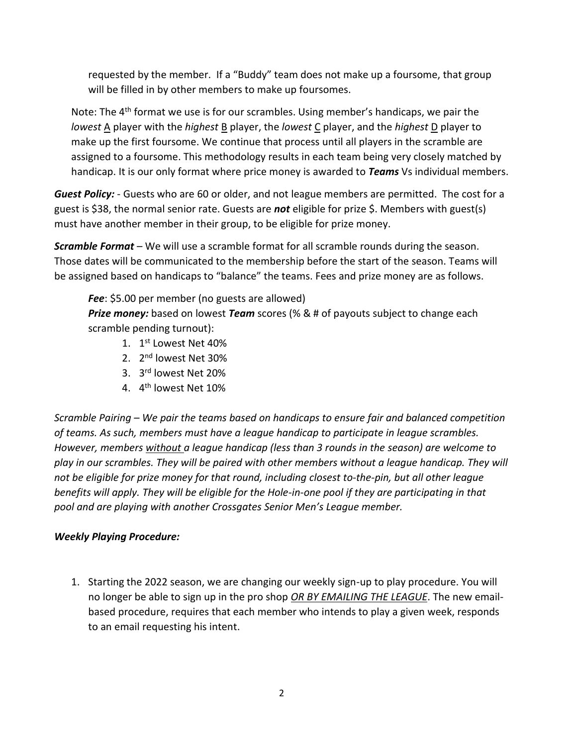requested by the member. If a "Buddy" team does not make up a foursome, that group will be filled in by other members to make up foursomes.

Note: The  $4<sup>th</sup>$  format we use is for our scrambles. Using member's handicaps, we pair the *lowest* A player with the *highest* B player, the *lowest* C player, and the *highest* D player to make up the first foursome. We continue that process until all players in the scramble are assigned to a foursome. This methodology results in each team being very closely matched by handicap. It is our only format where price money is awarded to *Teams* Vs individual members.

*Guest Policy:* - Guests who are 60 or older, and not league members are permitted. The cost for a guest is \$38, the normal senior rate. Guests are *not* eligible for prize \$. Members with guest(s) must have another member in their group, to be eligible for prize money.

*Scramble Format* – We will use a scramble format for all scramble rounds during the season. Those dates will be communicated to the membership before the start of the season. Teams will be assigned based on handicaps to "balance" the teams. Fees and prize money are as follows.

*Fee*: \$5.00 per member (no guests are allowed) *Prize money:* based on lowest *Team* scores (% & # of payouts subject to change each scramble pending turnout):

- 1. 1<sup>st</sup> Lowest Net 40%
- 2. 2<sup>nd</sup> lowest Net 30%
- 3. 3 rd lowest Net 20%
- 4. 4<sup>th</sup> lowest Net 10%

*Scramble Pairing – We pair the teams based on handicaps to ensure fair and balanced competition of teams. As such, members must have a league handicap to participate in league scrambles. However, members without a league handicap (less than 3 rounds in the season) are welcome to play in our scrambles. They will be paired with other members without a league handicap. They will not be eligible for prize money for that round, including closest to-the-pin, but all other league benefits will apply. They will be eligible for the Hole-in-one pool if they are participating in that pool and are playing with another Crossgates Senior Men's League member.*

#### *Weekly Playing Procedure:*

1. Starting the 2022 season, we are changing our weekly sign-up to play procedure. You will no longer be able to sign up in the pro shop *OR BY EMAILING THE LEAGUE*. The new emailbased procedure, requires that each member who intends to play a given week, responds to an email requesting his intent.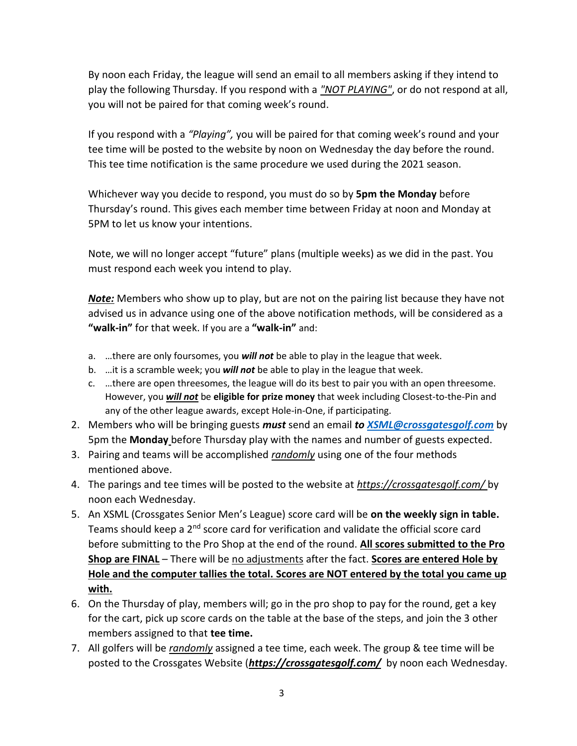By noon each Friday, the league will send an email to all members asking if they intend to play the following Thursday. If you respond with a *"NOT PLAYING"*, or do not respond at all, you will not be paired for that coming week's round.

If you respond with a *"Playing",* you will be paired for that coming week's round and your tee time will be posted to the website by noon on Wednesday the day before the round. This tee time notification is the same procedure we used during the 2021 season.

Whichever way you decide to respond, you must do so by **5pm the Monday** before Thursday's round. This gives each member time between Friday at noon and Monday at 5PM to let us know your intentions.

Note, we will no longer accept "future" plans (multiple weeks) as we did in the past. You must respond each week you intend to play.

*Note:* Members who show up to play, but are not on the pairing list because they have not advised us in advance using one of the above notification methods, will be considered as a **"walk-in"** for that week. If you are a **"walk-in"** and:

- a. …there are only foursomes, you *will not* be able to play in the league that week.
- b. …it is a scramble week; you *will not* be able to play in the league that week.
- c. …there are open threesomes, the league will do its best to pair you with an open threesome. However, you *will not* be **eligible for prize money** that week including Closest-to-the-Pin and any of the other league awards, except Hole-in-One, if participating.
- 2. Members who will be bringing guests *must* send an email *to [XSML@crossgatesgolf.com](mailto:XSML@crossgatesgolf.com)* by 5pm the **Monday** before Thursday play with the names and number of guests expected.
- 3. Pairing and teams will be accomplished *randomly* using one of the four methods mentioned above.
- 4. The parings and tee times will be posted to the website at *<https://crossgatesgolf.com/>* by noon each Wednesday.
- 5. An XSML (Crossgates Senior Men's League) score card will be **on the weekly sign in table.** Teams should keep a 2<sup>nd</sup> score card for verification and validate the official score card before submitting to the Pro Shop at the end of the round. **All scores submitted to the Pro Shop are FINAL** – There will be no adjustments after the fact. **Scores are entered Hole by Hole and the computer tallies the total. Scores are NOT entered by the total you came up with.**
- 6. On the Thursday of play, members will; go in the pro shop to pay for the round, get a key for the cart, pick up score cards on the table at the base of the steps, and join the 3 other members assigned to that **tee time.**
- 7. All golfers will be *randomly* assigned a tee time, each week. The group & tee time will be posted to the Crossgates Website (*<https://crossgatesgolf.com/>* by noon each Wednesday.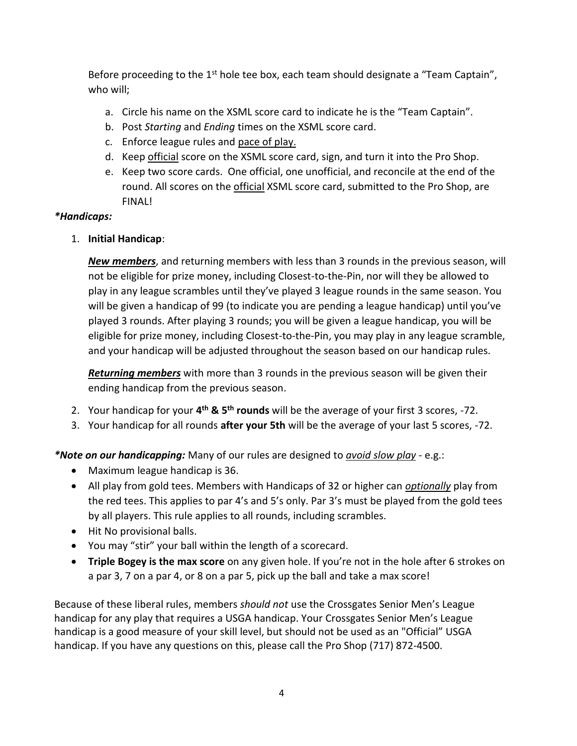Before proceeding to the 1<sup>st</sup> hole tee box, each team should designate a "Team Captain", who will;

- a. Circle his name on the XSML score card to indicate he is the "Team Captain".
- b. Post *Starting* and *Ending* times on the XSML score card.
- c. Enforce league rules and pace of play.
- d. Keep official score on the XSML score card, sign, and turn it into the Pro Shop.
- e. Keep two score cards. One official, one unofficial, and reconcile at the end of the round. All scores on the official XSML score card, submitted to the Pro Shop, are FINAL!

#### *\*Handicaps:*

1. **Initial Handicap**:

*New members*, and returning members with less than 3 rounds in the previous season, will not be eligible for prize money, including Closest-to-the-Pin, nor will they be allowed to play in any league scrambles until they've played 3 league rounds in the same season. You will be given a handicap of 99 (to indicate you are pending a league handicap) until you've played 3 rounds. After playing 3 rounds; you will be given a league handicap, you will be eligible for prize money, including Closest-to-the-Pin, you may play in any league scramble, and your handicap will be adjusted throughout the season based on our handicap rules.

*Returning members* with more than 3 rounds in the previous season will be given their ending handicap from the previous season.

- 2. Your handicap for your **4 th & 5th rounds** will be the average of your first 3 scores, -72.
- 3. Your handicap for all rounds **after your 5th** will be the average of your last 5 scores, -72.

*\*Note on our handicapping:* Many of our rules are designed to *avoid slow play* - e.g.:

- Maximum league handicap is 36.
- All play from gold tees. Members with Handicaps of 32 or higher can *optionally* play from the red tees. This applies to par 4's and 5's only. Par 3's must be played from the gold tees by all players. This rule applies to all rounds, including scrambles.
- Hit No provisional balls.
- You may "stir" your ball within the length of a scorecard.
- **Triple Bogey is the max score** on any given hole. If you're not in the hole after 6 strokes on a par 3, 7 on a par 4, or 8 on a par 5, pick up the ball and take a max score!

Because of these liberal rules, members *should not* use the Crossgates Senior Men's League handicap for any play that requires a USGA handicap. Your Crossgates Senior Men's League handicap is a good measure of your skill level, but should not be used as an "Official" USGA handicap. If you have any questions on this, please call the Pro Shop (717) 872-4500.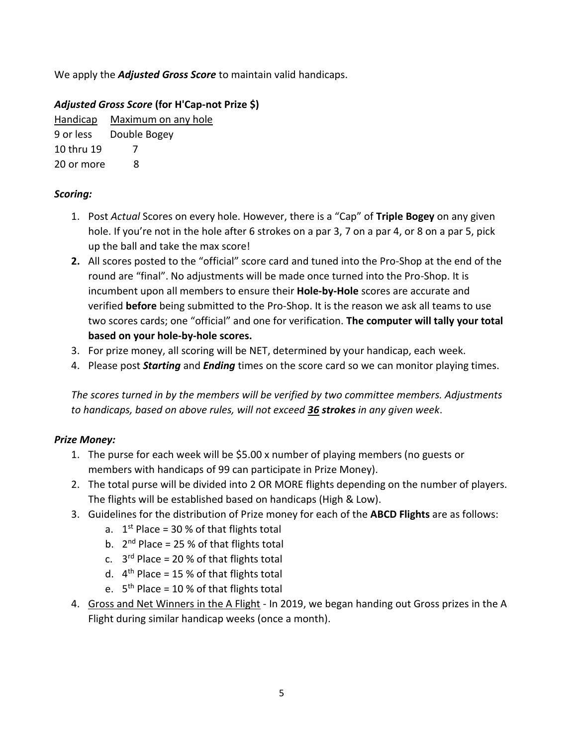We apply the *Adjusted Gross Score* to maintain valid handicaps.

#### *Adjusted Gross Score* **(for H'Cap-not Prize \$)**

Handicap Maximum on any hole 9 or less Double Bogey 10 thru 19 7 20 or more 8

#### *Scoring:*

- 1. Post *Actual* Scores on every hole. However, there is a "Cap" of **Triple Bogey** on any given hole. If you're not in the hole after 6 strokes on a par 3, 7 on a par 4, or 8 on a par 5, pick up the ball and take the max score!
- **2.** All scores posted to the "official" score card and tuned into the Pro-Shop at the end of the round are "final". No adjustments will be made once turned into the Pro-Shop. It is incumbent upon all members to ensure their **Hole-by-Hole** scores are accurate and verified **before** being submitted to the Pro-Shop. It is the reason we ask all teams to use two scores cards; one "official" and one for verification. **The computer will tally your total based on your hole-by-hole scores.**
- 3. For prize money, all scoring will be NET, determined by your handicap, each week.
- 4. Please post *Starting* and *Ending* times on the score card so we can monitor playing times.

*The scores turned in by the members will be verified by two committee members. Adjustments to handicaps, based on above rules, will not exceed 36 strokes in any given week*.

#### *Prize Money:*

- 1. The purse for each week will be \$5.00 x number of playing members (no guests or members with handicaps of 99 can participate in Prize Money).
- 2. The total purse will be divided into 2 OR MORE flights depending on the number of players. The flights will be established based on handicaps (High & Low).
- 3. Guidelines for the distribution of Prize money for each of the **ABCD Flights** are as follows:
	- a.  $1<sup>st</sup>$  Place = 30 % of that flights total
	- b.  $2<sup>nd</sup>$  Place = 25 % of that flights total
	- c.  $3<sup>rd</sup>$  Place = 20 % of that flights total
	- d.  $4<sup>th</sup>$  Place = 15 % of that flights total
	- e. 5<sup>th</sup> Place = 10 % of that flights total
- 4. Gross and Net Winners in the A Flight In 2019, we began handing out Gross prizes in the A Flight during similar handicap weeks (once a month).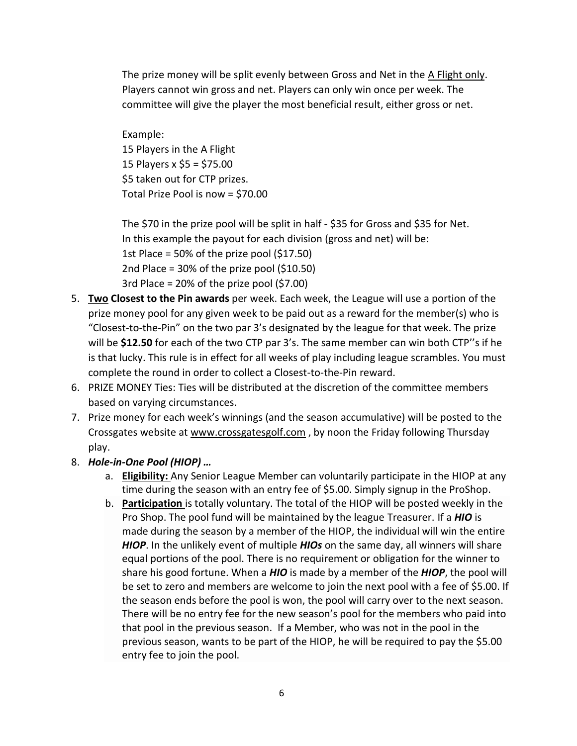The prize money will be split evenly between Gross and Net in the A Flight only. Players cannot win gross and net. Players can only win once per week. The committee will give the player the most beneficial result, either gross or net.

Example: 15 Players in the A Flight 15 Players x \$5 = \$75.00 \$5 taken out for CTP prizes. Total Prize Pool is now = \$70.00

The \$70 in the prize pool will be split in half - \$35 for Gross and \$35 for Net. In this example the payout for each division (gross and net) will be: 1st Place = 50% of the prize pool (\$17.50) 2nd Place = 30% of the prize pool (\$10.50) 3rd Place = 20% of the prize pool (\$7.00)

- 5. **Two Closest to the Pin awards** per week. Each week, the League will use a portion of the prize money pool for any given week to be paid out as a reward for the member(s) who is "Closest-to-the-Pin" on the two par 3's designated by the league for that week. The prize will be **\$12.50** for each of the two CTP par 3's. The same member can win both CTP''s if he is that lucky. This rule is in effect for all weeks of play including league scrambles. You must complete the round in order to collect a Closest-to-the-Pin reward.
- 6. PRIZE MONEY Ties: Ties will be distributed at the discretion of the committee members based on varying circumstances.
- 7. Prize money for each week's winnings (and the season accumulative) will be posted to the Crossgates website at [www.crossgatesgolf.com](http://www.crossgatesgolf.com/) , by noon the Friday following Thursday play.
- 8. *Hole-in-One Pool (HIOP) …*
	- a. **Eligibility:** Any Senior League Member can voluntarily participate in the HIOP at any time during the season with an entry fee of \$5.00. Simply signup in the ProShop.
	- b. **Participation** is totally voluntary. The total of the HIOP will be posted weekly in the Pro Shop. The pool fund will be maintained by the league Treasurer. If a *HIO* is made during the season by a member of the HIOP, the individual will win the entire *HIOP*. In the unlikely event of multiple *HIOs* on the same day, all winners will share equal portions of the pool. There is no requirement or obligation for the winner to share his good fortune. When a *HIO* is made by a member of the *HIOP*, the pool will be set to zero and members are welcome to join the next pool with a fee of \$5.00. If the season ends before the pool is won, the pool will carry over to the next season. There will be no entry fee for the new season's pool for the members who paid into that pool in the previous season. If a Member, who was not in the pool in the previous season, wants to be part of the HIOP, he will be required to pay the \$5.00 entry fee to join the pool.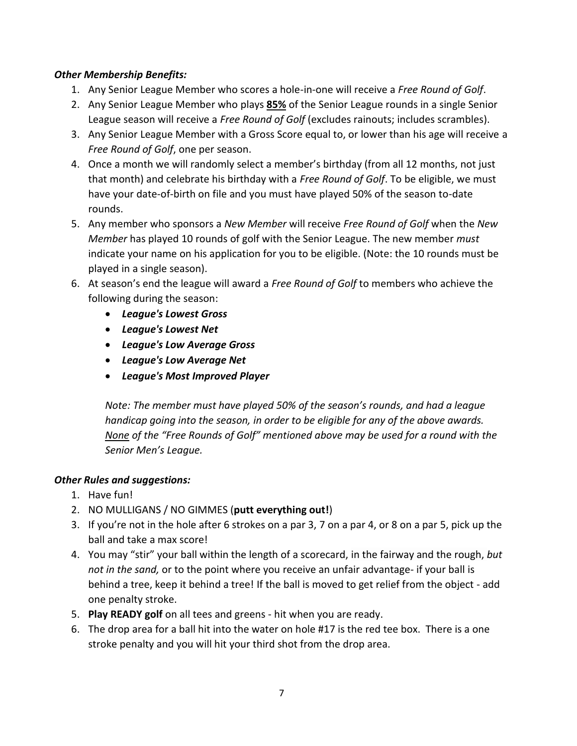#### *Other Membership Benefits:*

- 1. Any Senior League Member who scores a hole-in-one will receive a *Free Round of Golf*.
- 2. Any Senior League Member who plays **85%** of the Senior League rounds in a single Senior League season will receive a *Free Round of Golf* (excludes rainouts; includes scrambles).
- 3. Any Senior League Member with a Gross Score equal to, or lower than his age will receive a *Free Round of Golf*, one per season.
- 4. Once a month we will randomly select a member's birthday (from all 12 months, not just that month) and celebrate his birthday with a *Free Round of Golf*. To be eligible, we must have your date-of-birth on file and you must have played 50% of the season to-date rounds.
- 5. Any member who sponsors a *New Member* will receive *Free Round of Golf* when the *New Member* has played 10 rounds of golf with the Senior League. The new member *must* indicate your name on his application for you to be eligible. (Note: the 10 rounds must be played in a single season).
- 6. At season's end the league will award a *Free Round of Golf* to members who achieve the following during the season:
	- *League's Lowest Gross*
	- *League's Lowest Net*
	- *League's Low Average Gross*
	- *League's Low Average Net*
	- *League's Most Improved Player*

*Note: The member must have played 50% of the season's rounds, and had a league handicap going into the season, in order to be eligible for any of the above awards. None of the "Free Rounds of Golf" mentioned above may be used for a round with the Senior Men's League.* 

#### *Other Rules and suggestions:*

- 1. Have fun!
- 2. NO MULLIGANS / NO GIMMES (**putt everything out!**)
- 3. If you're not in the hole after 6 strokes on a par 3, 7 on a par 4, or 8 on a par 5, pick up the ball and take a max score!
- 4. You may "stir" your ball within the length of a scorecard, in the fairway and the rough, *but not in the sand,* or to the point where you receive an unfair advantage- if your ball is behind a tree, keep it behind a tree! If the ball is moved to get relief from the object - add one penalty stroke.
- 5. **Play READY golf** on all tees and greens hit when you are ready.
- 6. The drop area for a ball hit into the water on hole #17 is the red tee box. There is a one stroke penalty and you will hit your third shot from the drop area.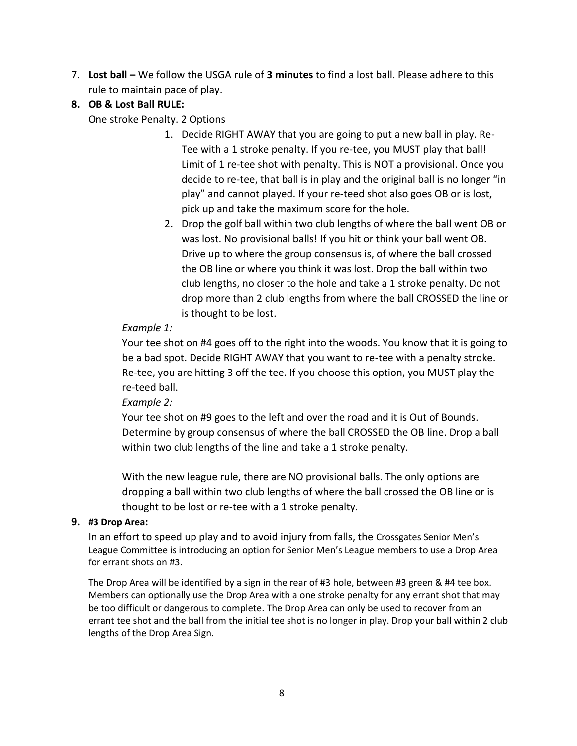- 7. **Lost ball –** We follow the USGA rule of **3 minutes** to find a lost ball. Please adhere to this rule to maintain pace of play.
- **8. OB & Lost Ball RULE:**

One stroke Penalty. 2 Options

- 1. Decide RIGHT AWAY that you are going to put a new ball in play. Re-Tee with a 1 stroke penalty. If you re-tee, you MUST play that ball! Limit of 1 re-tee shot with penalty. This is NOT a provisional. Once you decide to re-tee, that ball is in play and the original ball is no longer "in play" and cannot played. If your re-teed shot also goes OB or is lost, pick up and take the maximum score for the hole.
- 2. Drop the golf ball within two club lengths of where the ball went OB or was lost. No provisional balls! If you hit or think your ball went OB. Drive up to where the group consensus is, of where the ball crossed the OB line or where you think it was lost. Drop the ball within two club lengths, no closer to the hole and take a 1 stroke penalty. Do not drop more than 2 club lengths from where the ball CROSSED the line or is thought to be lost.

#### *Example 1:*

Your tee shot on #4 goes off to the right into the woods. You know that it is going to be a bad spot. Decide RIGHT AWAY that you want to re-tee with a penalty stroke. Re-tee, you are hitting 3 off the tee. If you choose this option, you MUST play the re-teed ball.

*Example 2:*

Your tee shot on #9 goes to the left and over the road and it is Out of Bounds. Determine by group consensus of where the ball CROSSED the OB line. Drop a ball within two club lengths of the line and take a 1 stroke penalty.

With the new league rule, there are NO provisional balls. The only options are dropping a ball within two club lengths of where the ball crossed the OB line or is thought to be lost or re-tee with a 1 stroke penalty.

#### **9. #3 Drop Area:**

In an effort to speed up play and to avoid injury from falls, the Crossgates Senior Men's League Committee is introducing an option for Senior Men's League members to use a Drop Area for errant shots on #3.

The Drop Area will be identified by a sign in the rear of #3 hole, between #3 green & #4 tee box. Members can optionally use the Drop Area with a one stroke penalty for any errant shot that may be too difficult or dangerous to complete. The Drop Area can only be used to recover from an errant tee shot and the ball from the initial tee shot is no longer in play. Drop your ball within 2 club lengths of the Drop Area Sign.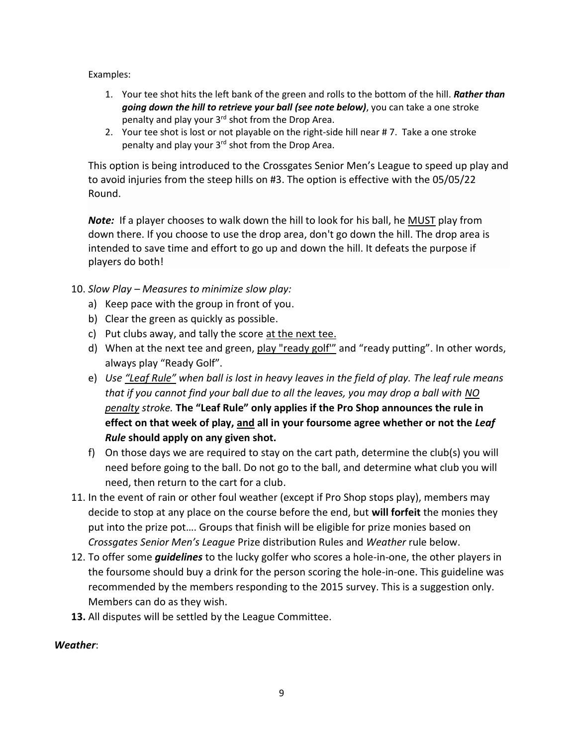Examples:

- 1. Your tee shot hits the left bank of the green and rolls to the bottom of the hill. *Rather than going down the hill to retrieve your ball (see note below)*, you can take a one stroke penalty and play your 3<sup>rd</sup> shot from the Drop Area.
- 2. Your tee shot is lost or not playable on the right-side hill near # 7. Take a one stroke penalty and play your 3<sup>rd</sup> shot from the Drop Area.

This option is being introduced to the Crossgates Senior Men's League to speed up play and to avoid injuries from the steep hills on #3. The option is effective with the 05/05/22 Round.

*Note:* If a player chooses to walk down the hill to look for his ball, he MUST play from down there. If you choose to use the drop area, don't go down the hill. The drop area is intended to save time and effort to go up and down the hill. It defeats the purpose if players do both!

- 10. *Slow Play – Measures to minimize slow play:*
	- a) Keep pace with the group in front of you.
	- b) Clear the green as quickly as possible.
	- c) Put clubs away, and tally the score at the next tee.
	- d) When at the next tee and green, play "ready golf'" and "ready putting". In other words, always play "Ready Golf".
	- e) *Use "Leaf Rule" when ball is lost in heavy leaves in the field of play. The leaf rule means that if you cannot find your ball due to all the leaves, you may drop a ball with NO penalty stroke.* **The "Leaf Rule" only applies if the Pro Shop announces the rule in effect on that week of play, and all in your foursome agree whether or not the** *Leaf Rule* **should apply on any given shot.**
	- f) On those days we are required to stay on the cart path, determine the club(s) you will need before going to the ball. Do not go to the ball, and determine what club you will need, then return to the cart for a club.
- 11. In the event of rain or other foul weather (except if Pro Shop stops play), members may decide to stop at any place on the course before the end, but **will forfeit** the monies they put into the prize pot…. Groups that finish will be eligible for prize monies based on *Crossgates Senior Men's League* Prize distribution Rules and *Weather* rule below.
- 12. To offer some *guidelines* to the lucky golfer who scores a hole-in-one, the other players in the foursome should buy a drink for the person scoring the hole-in-one. This guideline was recommended by the members responding to the 2015 survey. This is a suggestion only. Members can do as they wish.
- **13.** All disputes will be settled by the League Committee.

#### *Weather*: